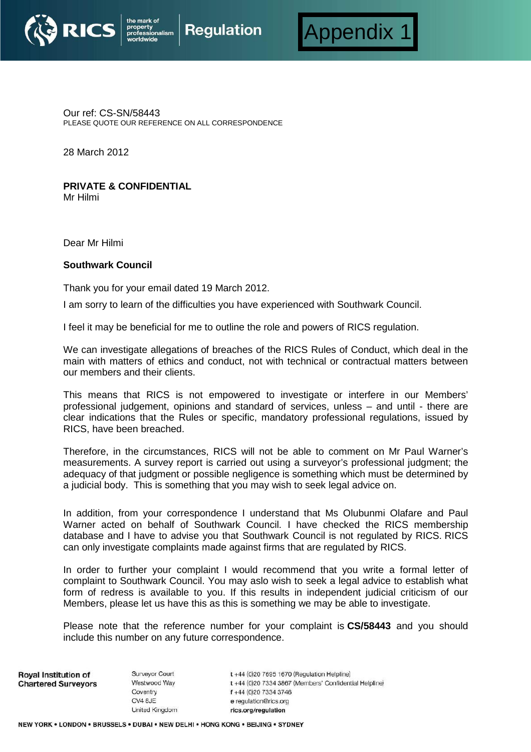



Our ref: CS-SN/58443 PLEASE QUOTE OUR REFERENCE ON ALL CORRESPONDENCE

y<br>ionalism

28 March 2012

## **PRIVATE & CONFIDENTIAL**

Mr Hilmi

Dear Mr Hilmi

## **Southwark Council**

Thank you for your email dated 19 March 2012.

I am sorry to learn of the difficulties you have experienced with Southwark Council.

I feel it may be beneficial for me to outline the role and powers of RICS regulation.

We can investigate allegations of breaches of the RICS Rules of Conduct, which deal in the main with matters of ethics and conduct, not with technical or contractual matters between our members and their clients.

This means that RICS is not empowered to investigate or interfere in our Members' professional judgement, opinions and standard of services, unless – and until - there are clear indications that the Rules or specific, mandatory professional regulations, issued by RICS, have been breached.

Therefore, in the circumstances, RICS will not be able to comment on Mr Paul Warner's measurements. A survey report is carried out using a surveyor's professional judgment; the adequacy of that judgment or possible negligence is something which must be determined by a judicial body. This is something that you may wish to seek legal advice on.

In addition, from your correspondence I understand that Ms Olubunmi Olafare and Paul Warner acted on behalf of Southwark Council. I have checked the RICS membership database and I have to advise you that Southwark Council is not regulated by RICS. RICS can only investigate complaints made against firms that are regulated by RICS.

In order to further your complaint I would recommend that you write a formal letter of complaint to Southwark Council. You may aslo wish to seek a legal advice to establish what form of redress is available to you. If this results in independent judicial criticism of our Members, please let us have this as this is something we may be able to investigate.

Please note that the reference number for your complaint is **CS/58443** and you should include this number on any future correspondence.

**Roval Institution of Chartered Surveyors**  Surveyor Court Westwood Way Coventry CV4 8JE United Kingdom  $t + 44$  (0)20 7695 1670 (Regulation Helpline) t +44 (0)20 7334 3867 (Members' Confidential Helpline) f +44 (0)20 7334 3746 e requlation@rics.org rics.org/regulation